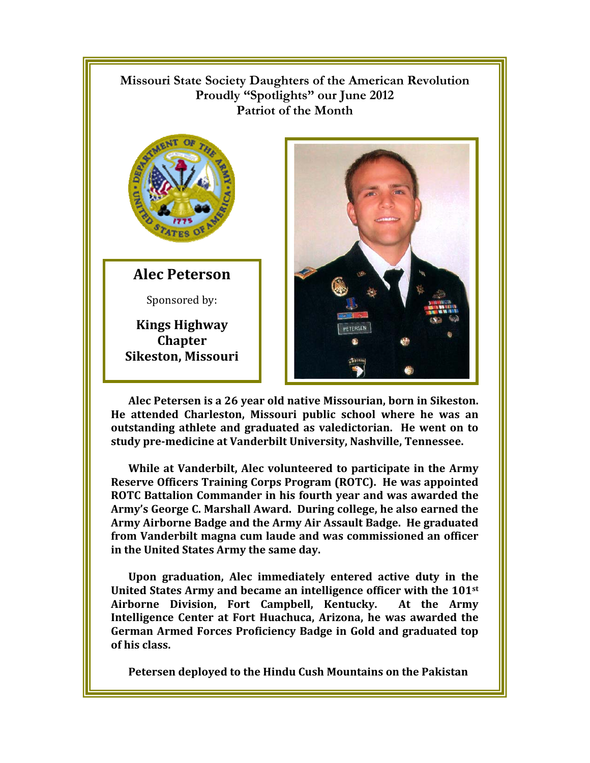## $\mathbb{R}$ **Missouri State Society Daughters of the American Revolution Proudly "Spotlights" our June 2012 Patriot of the Month**



**Alec Peterson** 

Sponsored by:

**Kings Highway Chapter Sikeston, Missouri** 



**Alec Petersen is a 26 year old native Missourian, born in Sikeston. He attended Charleston, Missouri public school where he was an outstanding athlete and graduated as valedictorian. He went on to study pre-medicine at Vanderbilt University, Nashville, Tennessee.** 

**While at Vanderbilt, Alec volunteered to participate in the Army Reserve Officers Training Corps Program (ROTC). He was appointed ROTC Battalion Commander in his fourth year and was awarded the Army's George C. Marshall Award. During college, he also earned the Army Airborne Badge and the Army Air Assault Badge. He graduated from Vanderbilt magna cum laude and was commissioned an officer in the United States Army the same day.** 

**Upon graduation, Alec immediately entered active duty in the United States Army and became an intelligence officer with the 101st Airborne Division, Fort Campbell, Kentucky. At the Army Intelligence Center at Fort Huachuca, Arizona, he was awarded the German Armed Forces Proficiency Badge in Gold and graduated top of his class.** 

**Petersen deployed to the Hindu Cush Mountains on the Pakistan**